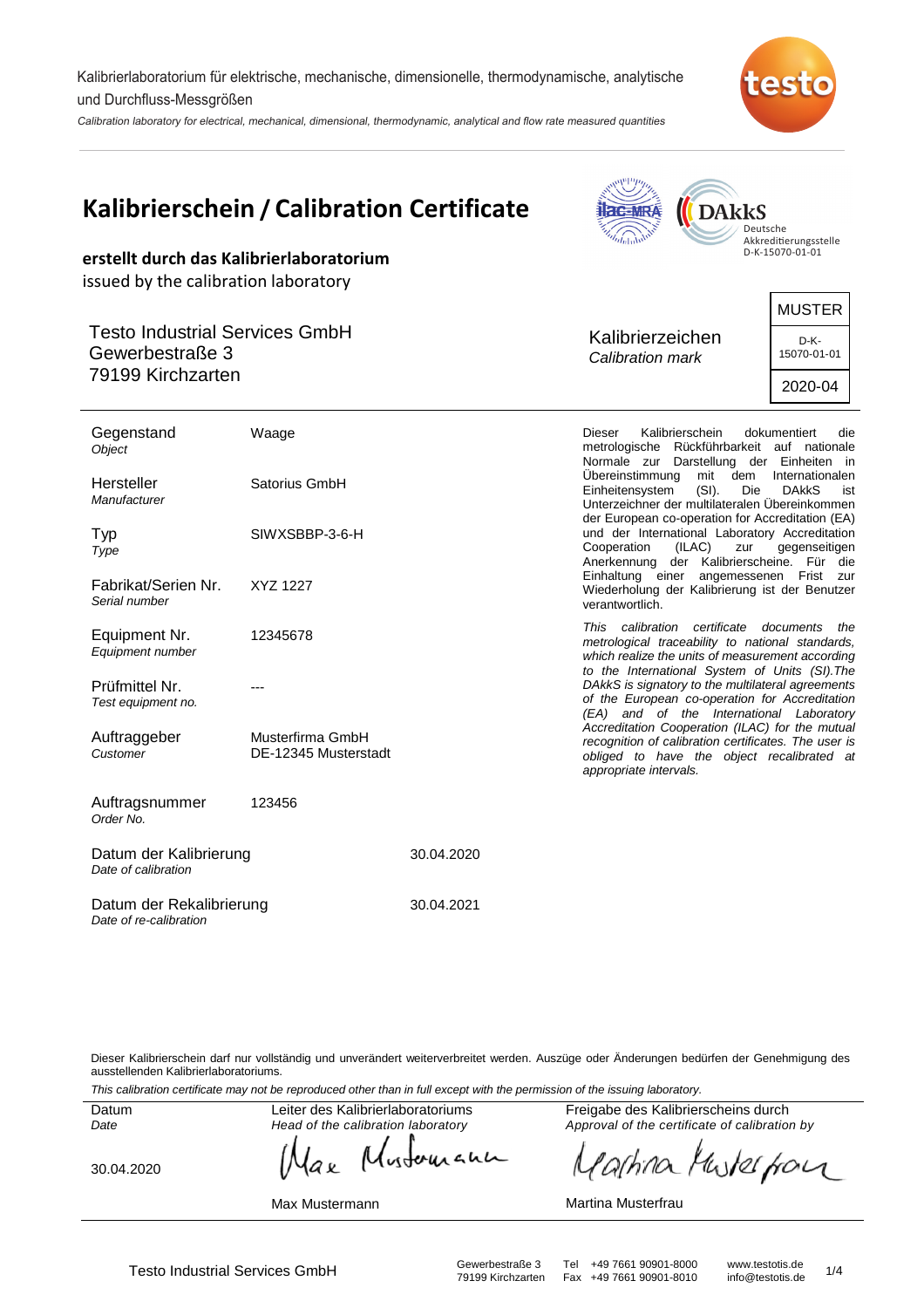Kalibrierlaboratorium für elektrische, mechanische, dimensionelle, thermodynamische, analytische und Durchfluss-Messgrößen

Calibration laboratory for electrical, mechanical, dimensional, thermodynamic, analytical and flow rate measured quantities



| erstellt durch das Kalibrierlaboratorium<br>issued by the calibration laboratory | <b>Kalibrierschein / Calibration Certificate</b> |            |                                                     | <b>DAkkS</b>                                                                                                                                                                                                                                                                                                                                            | Deutsche<br>Akkreditierungsstelle<br>D-K-15070-01-01          |
|----------------------------------------------------------------------------------|--------------------------------------------------|------------|-----------------------------------------------------|---------------------------------------------------------------------------------------------------------------------------------------------------------------------------------------------------------------------------------------------------------------------------------------------------------------------------------------------------------|---------------------------------------------------------------|
| <b>Testo Industrial Services GmbH</b><br>Gewerbestraße 3<br>79199 Kirchzarten    |                                                  |            | Kalibrierzeichen<br>Calibration mark                |                                                                                                                                                                                                                                                                                                                                                         | <b>MUSTER</b><br>D-K-<br>15070-01-01<br>2020-04               |
| Gegenstand<br>Object<br>Hersteller<br>Manufacturer                               | Waage<br>Satorius GmbH                           |            | <b>Dieser</b><br>Übereinstimmung<br>Einheitensystem | Kalibrierschein<br>metrologische Rückführbarkeit auf nationale<br>Normale zur Darstellung der Einheiten in<br>mit<br>dem<br>$(SI)$ .<br>Die                                                                                                                                                                                                             | dokumentiert<br>die<br>Internationalen<br><b>DAKKS</b><br>ist |
| Typ<br>Type<br>Fabrikat/Serien Nr.<br>Serial number                              | SIWXSBBP-3-6-H<br>XYZ 1227                       |            | Cooperation<br>verantwortlich.                      | Unterzeichner der multilateralen Übereinkommen<br>der European co-operation for Accreditation (EA)<br>und der International Laboratory Accreditation<br>(ILAC)<br>zur<br>Anerkennung der Kalibrierscheine. Für die<br>Einhaltung einer angemessenen Frist zur<br>Wiederholung der Kalibrierung ist der Benutzer                                         | gegenseitigen                                                 |
| Equipment Nr.<br>Equipment number<br>Prüfmittel Nr.<br>Test equipment no.        | 12345678                                         |            |                                                     | This calibration certificate documents the<br>metrological traceability to national standards,<br>which realize the units of measurement according<br>to the International System of Units (SI). The<br>DAkkS is signatory to the multilateral agreements<br>of the European co-operation for Accreditation<br>(EA) and of the International Laboratory |                                                               |
| Auftraggeber<br>Customer                                                         | Musterfirma GmbH<br>DE-12345 Musterstadt         |            | appropriate intervals.                              | Accreditation Cooperation (ILAC) for the mutual<br>recognition of calibration certificates. The user is<br>obliged to have the object recalibrated at                                                                                                                                                                                                   |                                                               |
| Auftragsnummer<br>Order No.                                                      | 123456                                           |            |                                                     |                                                                                                                                                                                                                                                                                                                                                         |                                                               |
| Datum der Kalibrierung<br>Date of calibration                                    |                                                  | 30.04.2020 |                                                     |                                                                                                                                                                                                                                                                                                                                                         |                                                               |

Dieser Kalibrierschein darf nur vollständig und unverändert weiterverbreitet werden. Auszüge oder Änderungen bedürfen der Genehmigung des ausstellenden Kalibrierlaboratoriums.

30.04.2021

This calibration certificate may not be reproduced other than in full except with the permission of the issuing laboratory.

Datum Date

Leiter des Kalibrierlaboratoriums Head of the calibration laboratory

30.04.2020

Datum der Rekalibrierung

Date of re-calibration

Max Mustermann

Freigabe des Kalibrierscheins durch Approval of the certificate of calibration by

arhina Muskerfor

#### Martina Musterfrau

whereau аĸ

Testo Industrial Services GmbH<br>79199 Kirchzarten Fax +49 7661 90901-8010 info@testotis.de 1/4 Fax +49 7661 90901-8010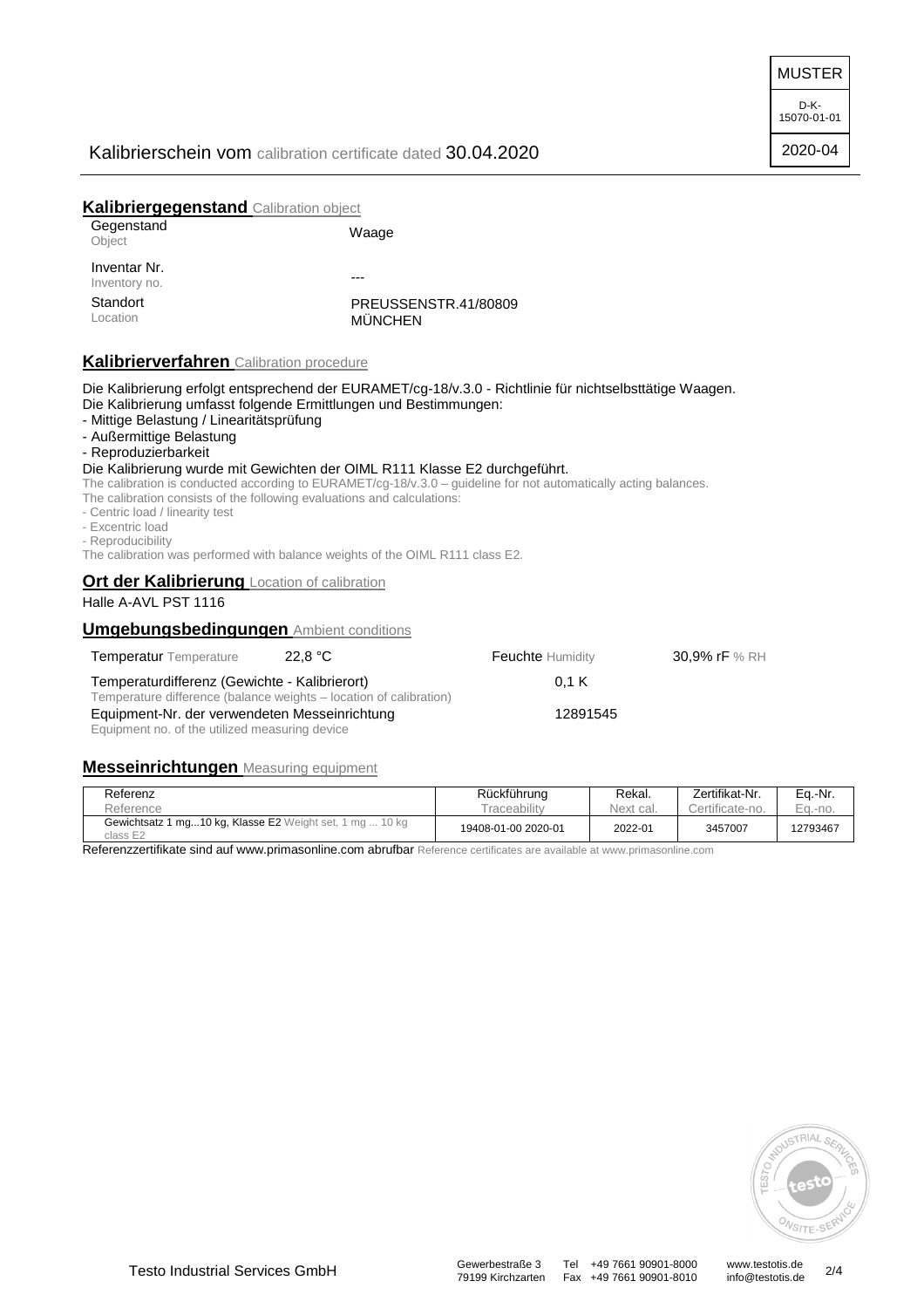MUSTER

D-K-15070-01-01

2020-04

# Kalibrierschein vom calibration certificate dated 30.04.2020

## **Kalibriergegenstand** Calibration object

| Gegenstand<br>Object          | Waage                                  |
|-------------------------------|----------------------------------------|
| Inventar Nr.<br>Inventory no. |                                        |
| Standort<br>Location          | PREUSSENSTR.41/80809<br><b>MÜNCHEN</b> |

## **Kalibrierverfahren** Calibration procedure

Die Kalibrierung erfolgt entsprechend der EURAMET/cg-18/v.3.0 - Richtlinie für nichtselbsttätige Waagen. Die Kalibrierung umfasst folgende Ermittlungen und Bestimmungen:

- Mittige Belastung / Linearitätsprüfung
- Außermittige Belastung
- Reproduzierbarkeit

### Die Kalibrierung wurde mit Gewichten der OIML R111 Klasse E2 durchgeführt.

The calibration is conducted according to EURAMET/cg-18/v.3.0 – guideline for not automatically acting balances. The calibration consists of the following evaluations and calculations:

- Centric load / linearity test

- 
- Excentric load
- Reproducibility

The calibration was performed with balance weights of the OIML R111 class E2.

### **Ort der Kalibrierung Location of calibration**

## Halle A-AVL PST 1116

### **Umgebungsbedingungen** Ambient conditions

| <b>Temperatur</b> Temperature                                                                                       | 22.8 $^{\circ}$ C | <b>Feuchte Humidity</b> |
|---------------------------------------------------------------------------------------------------------------------|-------------------|-------------------------|
| Temperaturdifferenz (Gewichte - Kalibrierort)<br>Temperature difference (balance weights – location of calibration) | 0.1K              |                         |
| Equipment-Nr. der verwendeten Messeinrichtung<br>Equipment no. of the utilized measuring device                     | 12891545          |                         |

### **Messeinrichtungen** Measuring equipment

| Referenz                                                                  | Rückführung              | Rekal.    | Zertifikat-Nr.  | Ea.-Nr.  |
|---------------------------------------------------------------------------|--------------------------|-----------|-----------------|----------|
| Reference                                                                 | <sup>-</sup> raceabilitv | Next cal. | Certificate-no. | Ea.-no.  |
| 1 mg10 kg, Klasse E2 Weight set, 1 mg  10 kg<br>Gewichtsatz 1<br>class E2 | 19408-01-00 2020-01      | 2022-01   | 3457007         | 12793467 |

Referenzzertifikate sind auf www.primasonline.com abrufbar Reference certificates are available at www.primasonline.com



79199 Kirchzarten Fax +49 7661 90901-8010

30,9% rF % RH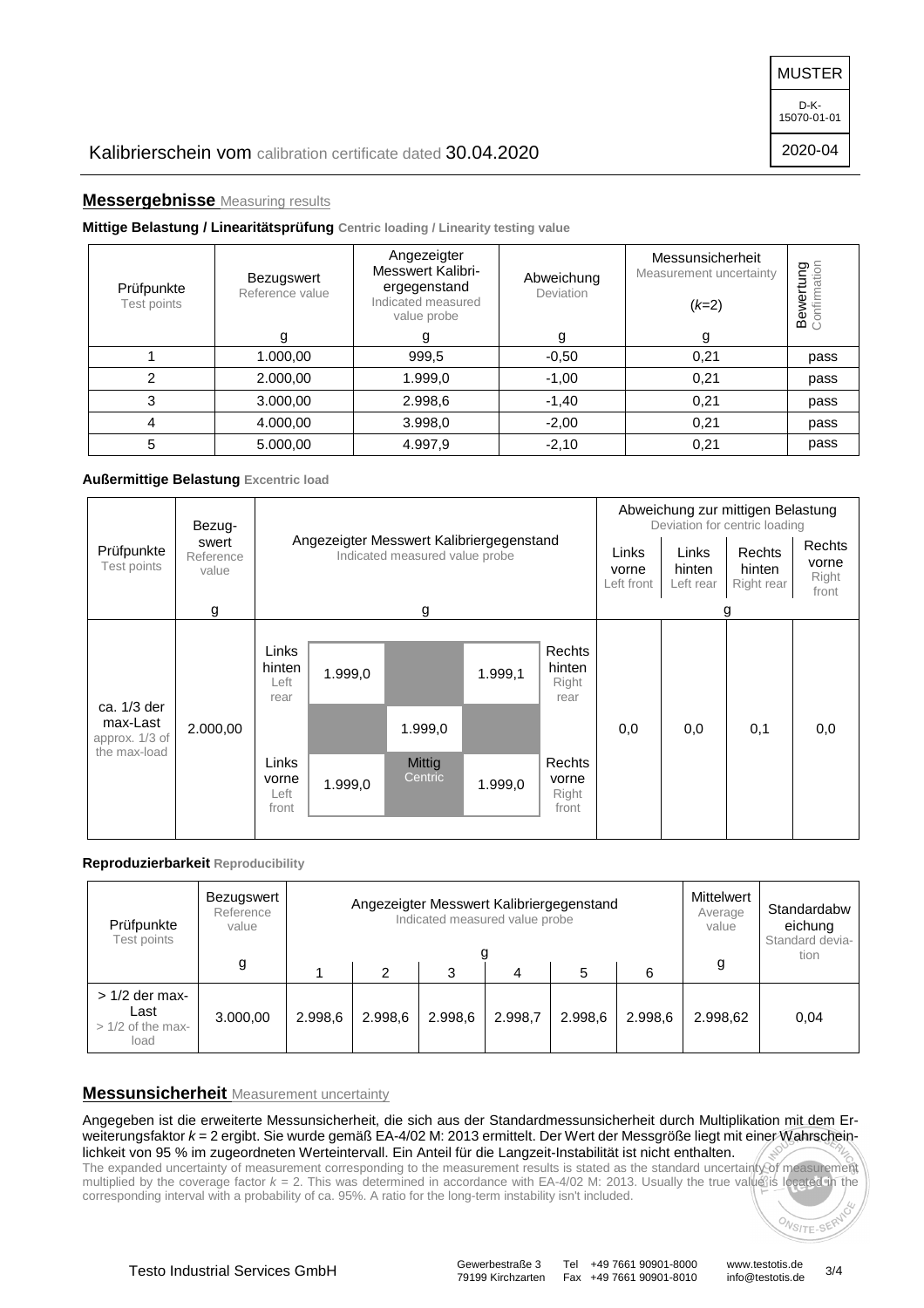MUSTER

D-K-15070-01-01

2020-04

## **Messergebnisse** Measuring results

### **Mittige Belastung / Linearitätsprüfung Centric loading / Linearity testing value**

| Prüfpunkte<br>Test points | Bezugswert<br>Reference value | Angezeigter<br><b>Messwert Kalibri-</b><br>Abweichung<br>ergegenstand<br>Deviation<br>Indicated measured<br>value probe |         | Messunsicherheit<br>Measurement uncertainty<br>$(k=2)$ | <b>Bewertung</b><br>Confirmation |
|---------------------------|-------------------------------|-------------------------------------------------------------------------------------------------------------------------|---------|--------------------------------------------------------|----------------------------------|
|                           | g                             | g                                                                                                                       | g       | g                                                      |                                  |
|                           | 1.000,00                      | 999,5                                                                                                                   | $-0,50$ | 0,21                                                   | pass                             |
| $\overline{c}$            | 2.000,00                      | 1.999,0                                                                                                                 | $-1,00$ | 0,21                                                   | pass                             |
| 3                         | 3.000,00                      | 2.998,6                                                                                                                 | $-1,40$ | 0,21                                                   | pass                             |
| 4                         | 4.000,00                      | 3.998,0                                                                                                                 | $-2,00$ | 0,21                                                   | pass                             |
| 5                         | 5.000,00                      | 4.997,9                                                                                                                 | $-2,10$ | 0,21                                                   | pass                             |

### **Außermittige Belastung Excentric load**

|                                            | Bezug-                      | Angezeigter Messwert Kalibriergegenstand<br>Indicated measured value probe |         |                   |         |                                   | Abweichung zur mittigen Belastung<br>Deviation for centric loading |                              |                                |                                   |
|--------------------------------------------|-----------------------------|----------------------------------------------------------------------------|---------|-------------------|---------|-----------------------------------|--------------------------------------------------------------------|------------------------------|--------------------------------|-----------------------------------|
| Prüfpunkte<br>Test points                  | swert<br>Reference<br>value |                                                                            |         |                   |         |                                   | Links<br>vorne<br>Left front                                       | Links<br>hinten<br>Left rear | Rechts<br>hinten<br>Right rear | Rechts<br>vorne<br>Right<br>front |
|                                            | g                           |                                                                            |         | g                 |         |                                   |                                                                    |                              | g                              |                                   |
| ca. 1/3 der                                |                             | Links<br>hinten<br>Left<br>rear                                            | 1.999,0 |                   | 1.999,1 | Rechts<br>hinten<br>Right<br>rear |                                                                    |                              |                                |                                   |
| max-Last<br>approx. 1/3 of<br>the max-load | 2.000,00                    |                                                                            |         | 1.999,0           |         |                                   | 0,0                                                                | 0,0                          | 0,1                            | 0,0                               |
|                                            |                             | Links<br>vorne<br>Left<br>front                                            | 1.999,0 | Mittig<br>Centric | 1.999,0 | Rechts<br>vorne<br>Right<br>front |                                                                    |                              |                                |                                   |

### **Reproduzierbarkeit Reproducibility**

| Prüfpunkte<br>Test points                              | Bezugswert<br>Reference<br>value | Angezeigter Messwert Kalibriergegenstand<br>Indicated measured value probe |         |         |         |         | Mittelwert<br>Average<br>value | Standardabw<br>eichung<br>Standard devia- |      |
|--------------------------------------------------------|----------------------------------|----------------------------------------------------------------------------|---------|---------|---------|---------|--------------------------------|-------------------------------------------|------|
|                                                        | g                                |                                                                            | 2       | 3       | 4       | 5       | 6                              | g                                         | tion |
| $>1/2$ der max-<br>Last<br>$> 1/2$ of the max-<br>load | 3.000.00                         | 2.998.6                                                                    | 2.998,6 | 2.998,6 | 2.998.7 | 2.998.6 | 2.998.6                        | 2.998.62                                  | 0.04 |

### **Messunsicherheit** Measurement uncertainty

Angegeben ist die erweiterte Messunsicherheit, die sich aus der Standardmessunsicherheit durch Multiplikation mit dem Erweiterungsfaktor  $k = 2$  ergibt. Sie wurde gemäß EA-4/02 M: 2013 ermittelt. Der Wert der Messgröße liegt mit einer Wahrscheinlichkeit von 95 % im zugeordneten Werteintervall. Ein Anteil für die Langzeit-Instabilität ist nicht enthalten.

The expanded uncertainty of measurement corresponding to the measurement results is stated as the standard uncertainty of measurement multiplied by the coverage factor  $k = 2$ . This was determined in accordance with EA-4/02 M: 2013. Usually the true value is located in the corresponding interval with a probability of ca. 95%. A ratio for the long-term instability isn't included.

79199 Kirchzarten Fax +49 7661 90901-8010

ONSITE-SERV